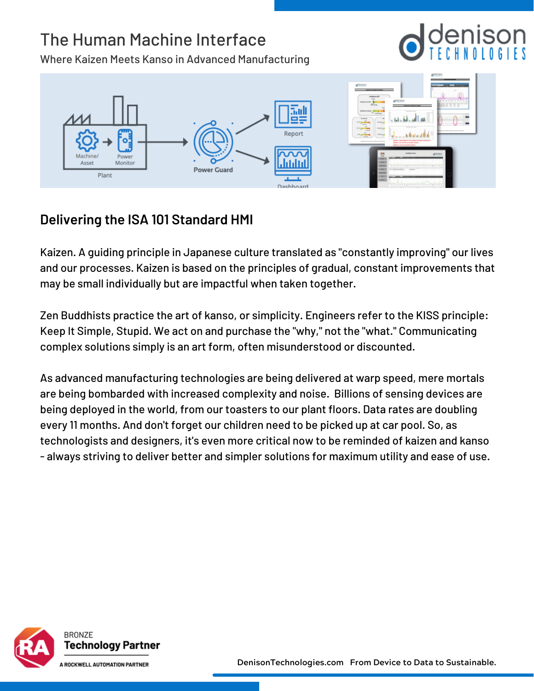# The Human Machine Interface

Where Kaizen Meets Kanso in Advanced Manufacturing



### **Delivering the ISA 101 Standard HMI**

Kaizen. A guiding principle in Japanese culture translated as "constantly improving" our lives and our processes. Kaizen is based on the principles of gradual, constant improvements that may be small individually but are impactful when taken together.

Zen Buddhists practice the art of kanso, or simplicity. Engineers refer to the KISS principle: Keep It Simple, Stupid. We act on and purchase the "why," not the "what." Communicating complex solutions simply is an art form, often misunderstood or discounted.

As advanced manufacturing technologies are being delivered at warp speed, mere mortals are being bombarded with increased complexity and noise. Billions of sensing devices are being deployed in the world, from our toasters to our plant floors. Data rates are doubling every 11 months. And don't forget our children need to be picked up at car pool. So, as technologists and designers, it's even more critical now to be reminded of kaizen and kanso - always striving to deliver better and simpler solutions for maximum utility and ease of use.

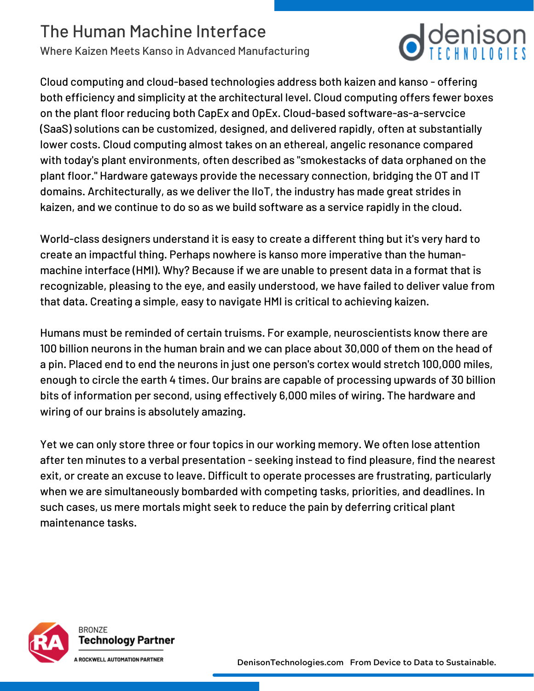## The Human Machine Interface

Where Kaizen Meets Kanso in Advanced Manufacturing

Cloud computing and cloud-based technologies address both kaizen and kanso - offering both efficiency and simplicity at the architectural level. Cloud computing offers fewer boxes on the plant floor reducing both CapEx and OpEx. Cloud-based software-as-a-servcice (SaaS) solutions can be customized, designed, and delivered rapidly, often at substantially lower costs. Cloud computing almost takes on an ethereal, angelic resonance compared with today's plant environments, often described as "smokestacks of data orphaned on the plant floor." Hardware gateways provide the necessary connection, bridging the OT and IT domains. Architecturally, as we deliver the IIoT, the industry has made great strides in kaizen, and we continue to do so as we build software as a service rapidly in the cloud.

 $\bigcirc$  denison

World-class designers understand it is easy to create a different thing but it's very hard to create an impactful thing. Perhaps nowhere is kanso more imperative than the humanmachine interface (HMI). Why? Because if we are unable to present data in a format that is recognizable, pleasing to the eye, and easily understood, we have failed to deliver value from that data. Creating a simple, easy to navigate HMI is critical to achieving kaizen.

Humans must be reminded of certain truisms. For example, neuroscientists know there are 100 billion neurons in the human brain and we can place about 30,000 of them on the head of a pin. Placed end to end the neurons in just one person's cortex would stretch 100,000 miles, enough to circle the earth 4 times. Our brains are capable of processing upwards of 30 billion bits of information per second, using effectively 6,000 miles of wiring. The hardware and wiring of our brains is absolutely amazing.

Yet we can only store three or four topics in our working memory. We often lose attention after ten minutes to a verbal presentation - seeking instead to find pleasure, find the nearest exit, or create an excuse to leave. Difficult to operate processes are frustrating, particularly when we are simultaneously bombarded with competing tasks, priorities, and deadlines. In such cases, us mere mortals might seek to reduce the pain by deferring critical plant maintenance tasks.



BRONZE Technology Partner

ROCKWELL AUTOMATION PARTNER